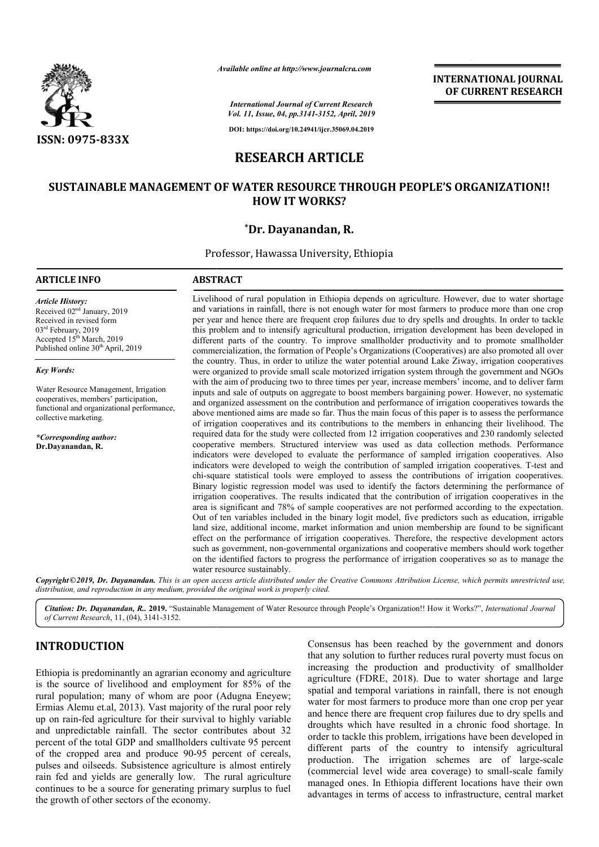

*Available online at http://www.journalcra.com*

**INTERNATIONAL JOURNAL OF CURRENT RESEARCH**

*International Journal of Current Research Vol. 11, Issue, 04, pp.3141-3152, April, 2019*

**DOI: https://doi.org/10.24941/ijcr.35069.04.2019**

# **RESEARCH ARTICLE**

# **SUSTAINABLE MANAGEMENT OF WATER RESOURCE THROUGH PEOPLE'S ORGANIZATION!! OF WATER HOW IT WORKS?**

# **\*Dr. Dayanandan, R.**

Professor, Hawassa University, Ethiopia

## **ARTICLE INFO ABSTRACT**

*Article History:* Received 02nd January, 2019 Received in revised form 03<sup>rd</sup> February, 2019 Accepted 15<sup>th</sup> March, 2019 Published online 30<sup>th</sup> April, 2019

*Key Words:*

Water Resource Management, Irrigation cooperatives, members' participation, functional and organizational performance, collective marketing.

*\*Corresponding author:* **Dr.Dayanandan, R.**

Livelihood of rural population in Ethiopia depends on agriculture. However, due to water shortage and variations in rainfall, there is not enough water for most farmers to produce more than one crop per year and hence there are frequent crop failures due to dry spells and droughts. In order to tackle this problem and to intensify agricultural production, irrigation development has b different parts of the country. To improve smallholder productivity and to promote smallholder commercialization, the formation of People's Organizations (Cooperatives) are also promoted all over the country. Thus, in order to utilize the water potential around Lake Ziway, irrigation cooperatives were organized to provide small scale motorized irrigation system through the government and NGOs with the aim of producing two to three times per year, increase members' income, and to deliver farm inputs and sale of outputs on aggregate to boost members bargaining power. However, no systematic and organized assessment on the contribution and performance of irrigation cooperatives towards the above mentioned aims are made so far. Thus the main focus of this paper is to assess the performance of irrigation cooperatives and its contributions to the members in enhancing their livelihood. The required data for the study were collected from 12 irrigation cooperatives and 230 randomly selected cooperative members. Structured interview was used as data collection methods. Performance indicators were developed to evaluate the performance of sampled irrigation cooperatives. Also indicators were developed to weigh the contribution of sampled irrigation cooperatives. T-test and chi-square statistical tools were employed to assess the contributions of irrigation cooperatives. Binary logistic regression model was used to identify the factors determining the performance of irrigation cooperatives. The results indicated that the contribution of irrigation cooperatives in the area is significant and 78% of sample cooperatives are not performed according to the expectation. chi-square statistical tools were employed to assess the contributions of irrigation cooperatives.<br>Binary logistic regression model was used to identify the factors determining the performance of irrigation cooperatives. T land size, additional income, market information and union membership are found to be significant effect on the performance of irrigation cooperatives. Therefore, the respective development actors such as government, non-governmental organizations and cooperative members should work together on the identified factors to progress the performance of irrigation cooperatives so as to manage the water resource sustainably. square statistical tools were employed to assess the contributions of irrigation cooperatives.<br>ary logistic regression model was used to identify the factors determining the performance of<br>gation cooperatives. The results Livelihood of rural population in Ethiopia depends on agriculture. However, due to water shortage and variations in rainfall, there is not enough water for most farmers to produce more than one crop per year and hence ther different parts of the country. To improve smallholder productivity and to promote smallholder commercialization, the formation of People's Organizations (Cooperatives) are also promoted all over the country. Thus, in orde inputs and sale of outputs on aggregate to boost members bargaining power. However, no systematic and organized assessment on the contribution and performance of irrigation cooperatives towards the above mentioned aims are land size, additional income, market information and union membership are found to be significant effect on the performance of irrigation cooperatives. Therefore, the respective development actors such as government, non-g **INTERNATIONAL JOURNAL TOONAL FOURNAL FOURNAL TOONAL FOURNAL TOONAL CONSUMPLEMENT RESEARCH CONSUMPLEMENT RESEARCH CONSUMPLEMENT RESEARCH CONSUMPLEMENT RESEARCH CHARGE THROUGH PEOPLE'S ORGANIZATION!! (ORIGE THROUGH PEOPLE'** 

Copyright©2019, Dr. Dayanandan. This is an open access article distributed under the Creative Commons Attribution License, which permits unrestricted use, *distribution, and reproduction in any medium, provided the original work is properly cited.*

Citation: Dr. Dayanandan, R. 2019. "Sustainable Management of Water Resource through People's Organization!! How it Works?", *International Journal of Current Research*, 11, (04), 3141-3152.

# **INTRODUCTION**

Ethiopia is predominantly an agrarian economy and agriculture is the source of livelihood and employment for 85% of the rural population; many of whom are poor (Adugna Eneyew; Ermias Alemu et.al, 2013). Vast majority of the rural poor rely up on rain-fed agriculture for their survival to highly variable and unpredictable rainfall. The sector contributes about 32 percent of the total GDP and smallholders cultivate 95 percent of the cropped area and produce 90-95 percent of cereals, pulses and oilseeds. Subsistence agriculture is almost entirely rain fed and yields are generally low. The rural agriculture continues to be a source for generating primary surplus to fuel the growth of other sectors of the economy.

FON<br>
16 Subminimum and agriculture that any solution to further reduces rural poverty m<br>
16 increasing the production and productivity of<br>
16 increasing the production and productivity of<br>
17 invelihood and employment for that any solution to further reduces rural poverty must focus on increasing the production and productivity of smallholder agriculture (FDRE, 2018). Due to water shortage and large spatial and temporal variations in rainfall, there is not enough water for most farmers to produce more than one crop per year and hence there are frequent crop failures due to dry spells and droughts which have resulted in a chronic food shortage. In order to tackle this problem, irrigations have been developed in different parts of the country to intensify agricultural production. The irrigation schemes are of large (commercial level wide area coverage) to small-scale family managed ones. In Ethiopia different locations have their own advantages in terms of access to infrastructure, central market Consensus has been reached by the government and donors that any solution to further reduces rural poverty must focus on increasing the production and productivity of smallholder agriculture (FDRE, 2018). Due to water shortage and large spatial and temporal variations in rainfa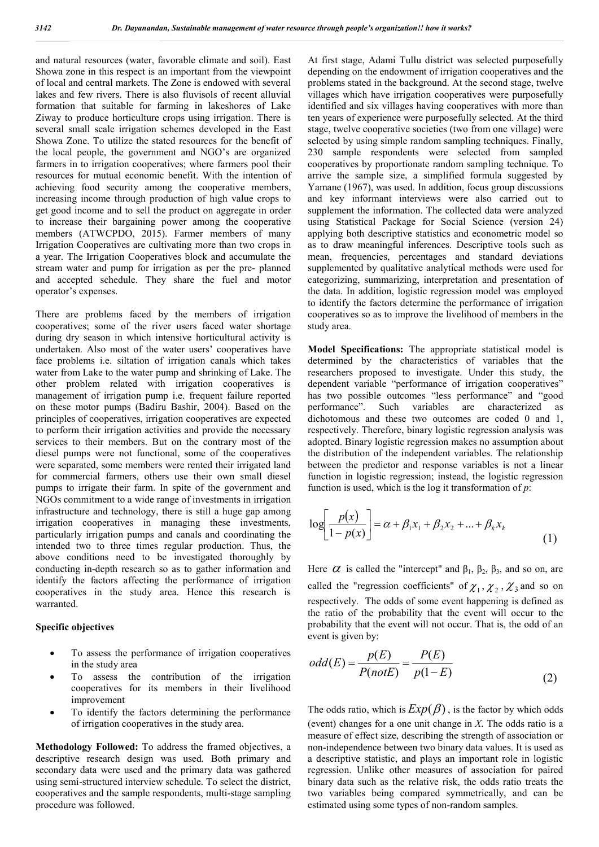and natural resources (water, favorable climate and soil). East Showa zone in this respect is an important from the viewpoint of local and central markets. The Zone is endowed with several lakes and few rivers. There is also fluvisols of recent alluvial formation that suitable for farming in lakeshores of Lake Ziway to produce horticulture crops using irrigation. There is several small scale irrigation schemes developed in the East Showa Zone. To utilize the stated resources for the benefit of the local people, the government and NGO's are organized farmers in to irrigation cooperatives; where farmers pool their resources for mutual economic benefit. With the intention of achieving food security among the cooperative members, increasing income through production of high value crops to get good income and to sell the product on aggregate in order to increase their bargaining power among the cooperative members (ATWCPDO, 2015). Farmer members of many Irrigation Cooperatives are cultivating more than two crops in a year. The Irrigation Cooperatives block and accumulate the stream water and pump for irrigation as per the pre- planned and accepted schedule. They share the fuel and motor operator's expenses.

There are problems faced by the members of irrigation cooperatives; some of the river users faced water shortage during dry season in which intensive horticultural activity is undertaken. Also most of the water users' cooperatives have face problems i.e. siltation of irrigation canals which takes water from Lake to the water pump and shrinking of Lake. The other problem related with irrigation cooperatives is management of irrigation pump i.e. frequent failure reported on these motor pumps (Badiru Bashir, 2004). Based on the principles of cooperatives, irrigation cooperatives are expected to perform their irrigation activities and provide the necessary services to their members. But on the contrary most of the diesel pumps were not functional, some of the cooperatives were separated, some members were rented their irrigated land for commercial farmers, others use their own small diesel pumps to irrigate their farm. In spite of the government and NGOs commitment to a wide range of investments in irrigation infrastructure and technology, there is still a huge gap among irrigation cooperatives in managing these investments, particularly irrigation pumps and canals and coordinating the intended two to three times regular production. Thus, the above conditions need to be investigated thoroughly by conducting in-depth research so as to gather information and identify the factors affecting the performance of irrigation cooperatives in the study area. Hence this research is warranted.

#### **Specific objectives**

- To assess the performance of irrigation cooperatives in the study area
- To assess the contribution of the irrigation cooperatives for its members in their livelihood improvement
- To identify the factors determining the performance of irrigation cooperatives in the study area.

**Methodology Followed:** To address the framed objectives, a descriptive research design was used. Both primary and secondary data were used and the primary data was gathered using semi-structured interview schedule. To select the district, cooperatives and the sample respondents, multi-stage sampling procedure was followed.

At first stage, Adami Tullu district was selected purposefully depending on the endowment of irrigation cooperatives and the problems stated in the background. At the second stage, twelve villages which have irrigation cooperatives were purposefully identified and six villages having cooperatives with more than ten years of experience were purposefully selected. At the third stage, twelve cooperative societies (two from one village) were selected by using simple random sampling techniques. Finally, 230 sample respondents were selected from sampled cooperatives by proportionate random sampling technique. To arrive the sample size, a simplified formula suggested by Yamane (1967), was used. In addition, focus group discussions and key informant interviews were also carried out to supplement the information. The collected data were analyzed using Statistical Package for Social Science (version 24) applying both descriptive statistics and econometric model so as to draw meaningful inferences. Descriptive tools such as mean, frequencies, percentages and standard deviations supplemented by qualitative analytical methods were used for categorizing, summarizing, interpretation and presentation of the data. In addition, logistic regression model was employed to identify the factors determine the performance of irrigation cooperatives so as to improve the livelihood of members in the study area.

**Model Specifications:** The appropriate statistical model is determined by the characteristics of variables that the researchers proposed to investigate. Under this study, the dependent variable "performance of irrigation cooperatives" has two possible outcomes "less performance" and "good performance". Such variables are characterized as Such variables are characterized as dichotomous and these two outcomes are coded 0 and 1, respectively. Therefore, binary logistic regression analysis was adopted. Binary logistic regression makes no assumption about the distribution of the independent variables. The relationship between the predictor and response variables is not a linear function in logistic regression; instead, the logistic regression function is used, which is the log it transformation of *p*:

$$
\log \left[ \frac{p(x)}{1 - p(x)} \right] = \alpha + \beta_1 x_1 + \beta_2 x_2 + \dots + \beta_k x_k \tag{1}
$$

Here  $\alpha$  is called the "intercept" and  $\beta_1$ ,  $\beta_2$ ,  $\beta_3$ , and so on, are called the "regression coefficients" of  $\chi_1, \chi_2, \chi_3$  and so on respectively. The odds of some event happening is defined as the ratio of the probability that the event will occur to the probability that the event will not occur. That is, the odd of an event is given by:

$$
odd(E) = \frac{p(E)}{P(notE)} = \frac{P(E)}{p(1-E)}
$$
\n(2)

The odds ratio, which is  $Exp(\beta)$ , is the factor by which odds (event) changes for a one unit change in *X*. The odds ratio is a measure of effect size, describing the strength of association or non-independence between two binary data values. It is used as a descriptive statistic, and plays an important role in logistic regression. Unlike other measures of association for paired binary data such as the relative risk, the odds ratio treats the two variables being compared symmetrically, and can be estimated using some types of non-random samples.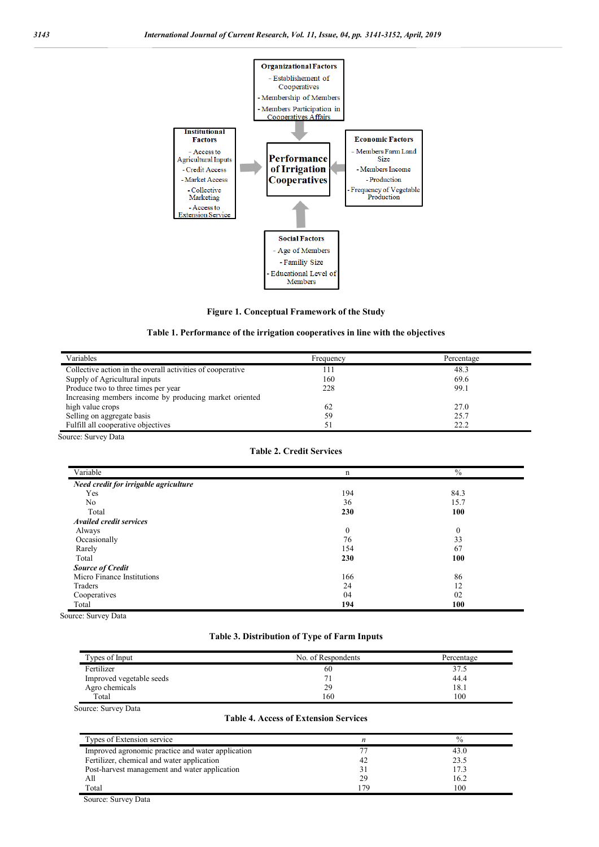

**Figure 1. Conceptual Framework of the Study**

**Table 1. Performance of the irrigation cooperatives in line with the objectives**

| Variables                                                  | Frequency | Percentage |
|------------------------------------------------------------|-----------|------------|
| Collective action in the overall activities of cooperative |           | 48.3       |
| Supply of Agricultural inputs                              | 160       | 69.6       |
| Produce two to three times per year                        | 228       | 99.1       |
| Increasing members income by producing market oriented     |           |            |
| high value crops                                           | 62        | 27.0       |
| Selling on aggregate basis                                 | 59        | 25.7       |
| Fulfill all cooperative objectives                         |           | 22.2       |

Source: Survey Data

**Table 2. Credit Services**

| Variable                              | n            | $\frac{0}{0}$ |
|---------------------------------------|--------------|---------------|
| Need credit for irrigable agriculture |              |               |
| Yes                                   | 194          | 84.3          |
| No.                                   | 36           | 15.7          |
| Total                                 | 230          | 100           |
| <b>Availed credit services</b>        |              |               |
| Always                                | $\mathbf{0}$ | $\mathbf{0}$  |
| Occasionally                          | 76           | 33            |
| Rarely                                | 154          | 67            |
| Total                                 | 230          | 100           |
| <b>Source of Credit</b>               |              |               |
| Micro Finance Institutions            | 166          | 86            |
| Traders                               | 24           | 12            |
| Cooperatives                          | 04           | 02            |
| Total                                 | 194          | 100           |

Source: Survey Data

## **Table 3. Distribution of Type of Farm Inputs**

| Types of Input           | No. of Respondents | Percentage |
|--------------------------|--------------------|------------|
| Fertilizer               | 60                 | 37.5       |
| Improved vegetable seeds |                    | 44.4       |
| Agro chemicals           | 29                 | 18.1       |
| Total                    | 160                | 100        |

Source: Survey Data

#### **Table 4. Access of Extension Services**

| Types of Extension service                        |    | $\%$ |
|---------------------------------------------------|----|------|
| Improved agronomic practice and water application |    | 43.0 |
| Fertilizer, chemical and water application        | 42 | 23.5 |
| Post-harvest management and water application     |    | 17.3 |
| All                                               | 29 | 16.2 |
| Total                                             | 70 | 100  |

Source: Survey Data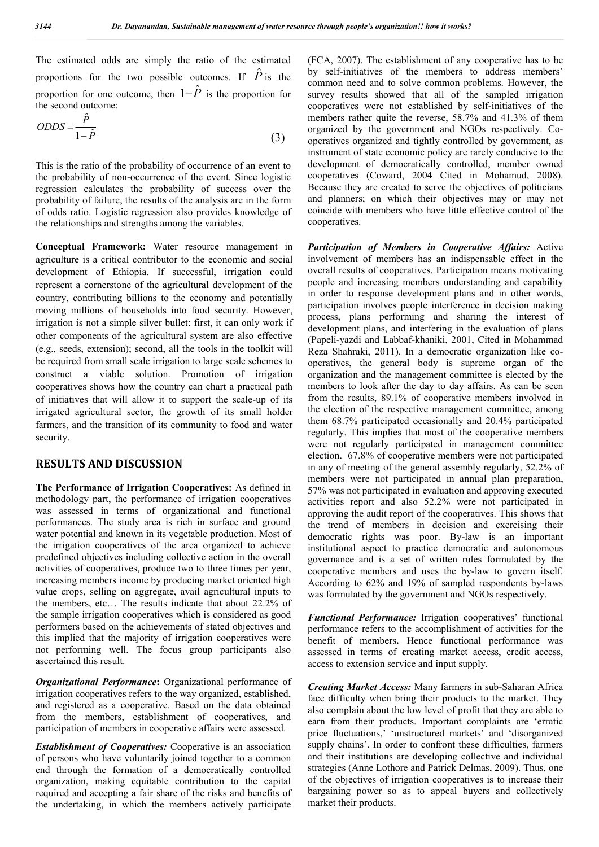The estimated odds are simply the ratio of the estimated proportions for the two possible outcomes. If  $\hat{P}$  is the proportion for one outcome, then  $1-\hat{P}$  is the proportion for the second outcome:  $\hat{p}$ 

$$
ODDS = \frac{P}{1 - \hat{P}}
$$
\n(3)

This is the ratio of the probability of occurrence of an event to the probability of non-occurrence of the event. Since logistic regression calculates the probability of success over the probability of failure, the results of the analysis are in the form of odds ratio. Logistic regression also provides knowledge of the relationships and strengths among the variables.

**Conceptual Framework:** Water resource management in agriculture is a critical contributor to the economic and social development of Ethiopia. If successful, irrigation could represent a cornerstone of the agricultural development of the country, contributing billions to the economy and potentially moving millions of households into food security. However, irrigation is not a simple silver bullet: first, it can only work if other components of the agricultural system are also effective (e.g., seeds, extension); second, all the tools in the toolkit will be required from small scale irrigation to large scale schemes to construct a viable solution. Promotion of irrigation cooperatives shows how the country can chart a practical path of initiatives that will allow it to support the scale-up of its irrigated agricultural sector, the growth of its small holder farmers, and the transition of its community to food and water security.

# **RESULTS AND DISCUSSION**

**The Performance of Irrigation Cooperatives:** As defined in methodology part, the performance of irrigation cooperatives was assessed in terms of organizational and functional performances. The study area is rich in surface and ground water potential and known in its vegetable production. Most of the irrigation cooperatives of the area organized to achieve predefined objectives including collective action in the overall activities of cooperatives, produce two to three times per year, increasing members income by producing market oriented high value crops, selling on aggregate, avail agricultural inputs to the members, etc… The results indicate that about 22.2% of the sample irrigation cooperatives which is considered as good performers based on the achievements of stated objectives and this implied that the majority of irrigation cooperatives were not performing well. The focus group participants also ascertained this result.

*Organizational Performance***:** Organizational performance of irrigation cooperatives refers to the way organized, established, and registered as a cooperative. Based on the data obtained from the members, establishment of cooperatives, and participation of members in cooperative affairs were assessed.

*Establishment of Cooperatives:* Cooperative is an association of persons who have voluntarily joined together to a common end through the formation of a democratically controlled organization, making equitable contribution to the capital required and accepting a fair share of the risks and benefits of the undertaking, in which the members actively participate (FCA, 2007). The establishment of any cooperative has to be by self-initiatives of the members to address members' common need and to solve common problems. However, the survey results showed that all of the sampled irrigation cooperatives were not established by self-initiatives of the members rather quite the reverse, 58.7% and 41.3% of them organized by the government and NGOs respectively. Cooperatives organized and tightly controlled by government, as instrument of state economic policy are rarely conducive to the development of democratically controlled, member owned cooperatives (Coward, 2004 Cited in Mohamud, 2008). Because they are created to serve the objectives of politicians and planners; on which their objectives may or may not coincide with members who have little effective control of the cooperatives.

*Participation of Members in Cooperative Affairs:* Active involvement of members has an indispensable effect in the overall results of cooperatives. Participation means motivating people and increasing members understanding and capability in order to response development plans and in other words, participation involves people interference in decision making process, plans performing and sharing the interest of development plans, and interfering in the evaluation of plans (Papeli-yazdi and Labbaf-khaniki, 2001, Cited in Mohammad Reza Shahraki, 2011). In a democratic organization like cooperatives, the general body is supreme organ of the organization and the management committee is elected by the members to look after the day to day affairs. As can be seen from the results, 89.1% of cooperative members involved in the election of the respective management committee, among them 68.7% participated occasionally and 20.4% participated regularly. This implies that most of the cooperative members were not regularly participated in management committee election. 67.8% of cooperative members were not participated in any of meeting of the general assembly regularly, 52.2% of members were not participated in annual plan preparation, 57% was not participated in evaluation and approving executed activities report and also 52.2% were not participated in approving the audit report of the cooperatives. This shows that the trend of members in decision and exercising their democratic rights was poor. By-law is an important institutional aspect to practice democratic and autonomous governance and is a set of written rules formulated by the cooperative members and uses the by-law to govern itself. According to 62% and 19% of sampled respondents by-laws was formulated by the government and NGOs respectively.

*Functional Performance:* Irrigation cooperatives' functional performance refers to the accomplishment of activities for the benefit of members**.** Hence functional performance was assessed in terms of **c**reating market access, credit access, access to extension service and input supply.

*Creating Market Access:* Many farmers in sub-Saharan Africa face difficulty when bring their products to the market. They also complain about the low level of profit that they are able to earn from their products. Important complaints are 'erratic price fluctuations,' 'unstructured markets' and 'disorganized supply chains'. In order to confront these difficulties, farmers and their institutions are developing collective and individual strategies (Anne Lothore and Patrick Delmas, 2009). Thus, one of the objectives of irrigation cooperatives is to increase their bargaining power so as to appeal buyers and collectively market their products.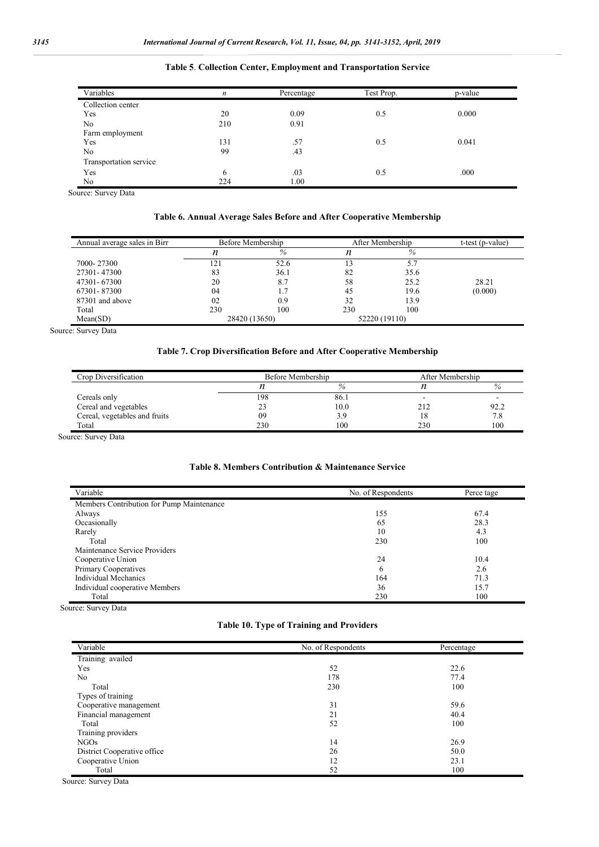| Variables              | n   | Percentage | Test Prop. | p-value |  |
|------------------------|-----|------------|------------|---------|--|
| Collection center      |     |            |            |         |  |
| Yes                    | 20  | 0.09       | 0.5        | 0.000   |  |
| No                     | 210 | 0.91       |            |         |  |
| Farm employment        |     |            |            |         |  |
| Yes                    | 131 | .57        | 0.5        | 0.041   |  |
| No                     | 99  | .43        |            |         |  |
| Transportation service |     |            |            |         |  |
| Yes                    | 6   | .03        | 0.5        | .000    |  |
| No                     | 224 | 1.00       |            |         |  |

#### **Table 5**. **Collection Center, Employment and Transportation Service**

Source: Survey Data

## **Table 6. Annual Average Sales Before and After Cooperative Membership**

| Annual average sales in Birr |     | Before Membership |     | After Membership |         |
|------------------------------|-----|-------------------|-----|------------------|---------|
|                              | n   | %                 | n   | %                |         |
| 7000-27300                   | 121 | 52.6              | 13  | 5.7              |         |
| 27301-47300                  | 83  | 36.1              | 82  | 35.6             |         |
| 47301-67300                  | 20  | 8.7               | 58  | 25.2             | 28.21   |
| 67301-87300                  | 04  |                   | 45  | 19.6             | (0.000) |
| 87301 and above              | 02  | 0.9               | 32  | 13.9             |         |
| Total                        | 230 | 100               | 230 | 100              |         |
| Mean(SD)                     |     | 28420 (13650)     |     | 52220 (19110)    |         |

Source: Survey Data

## **Table 7. Crop Diversification Before and After Cooperative Membership**

| Crop Diversification          | Before Membership | After Membership |     |      |
|-------------------------------|-------------------|------------------|-----|------|
|                               |                   | $\%$             |     | %    |
| Cereals only                  | 198               | 86.1             |     |      |
| Cereal and vegetables         |                   | 10.0             | 212 | 92.2 |
| Cereal, vegetables and fruits | 09                | 3.9              | 18  | 7.8  |
| Total                         | 230               | 100              | 230 | 100  |

Source: Survey Data

#### **Table 8. Members Contribution & Maintenance Service**

| Variable                                  | No. of Respondents | Perce tage |
|-------------------------------------------|--------------------|------------|
| Members Contribution for Pump Maintenance |                    |            |
| Always                                    | 155                | 67.4       |
| Occasionally                              | 65                 | 28.3       |
| Rarely                                    | 10                 | 4.3        |
| Total                                     | 230                | 100        |
| Maintenance Service Providers             |                    |            |
| Cooperative Union                         | 24                 | 10.4       |
| Primary Cooperatives                      | 6                  | 2.6        |
| Individual Mechanics                      | 164                | 71.3       |
| Individual cooperative Members            | 36                 | 15.7       |
| Total                                     | 230                | 100        |

Source: Survey Data

## **Table 10. Type of Training and Providers**

| Variable                    | No. of Respondents | Percentage |  |
|-----------------------------|--------------------|------------|--|
| Training availed            |                    |            |  |
| Yes                         | 52                 | 22.6       |  |
| N <sub>0</sub>              | 178                | 77.4       |  |
| Total                       | 230                | 100        |  |
| Types of training           |                    |            |  |
| Cooperative management      | 31                 | 59.6       |  |
| Financial management        | 21                 | 40.4       |  |
| Total                       | 52                 | 100        |  |
| Training providers          |                    |            |  |
| NGO <sub>s</sub>            | 14                 | 26.9       |  |
| District Cooperative office | 26                 | 50.0       |  |
| Cooperative Union           | 12                 | 23.1       |  |
| Total                       | 52                 | 100        |  |

Source: Survey Data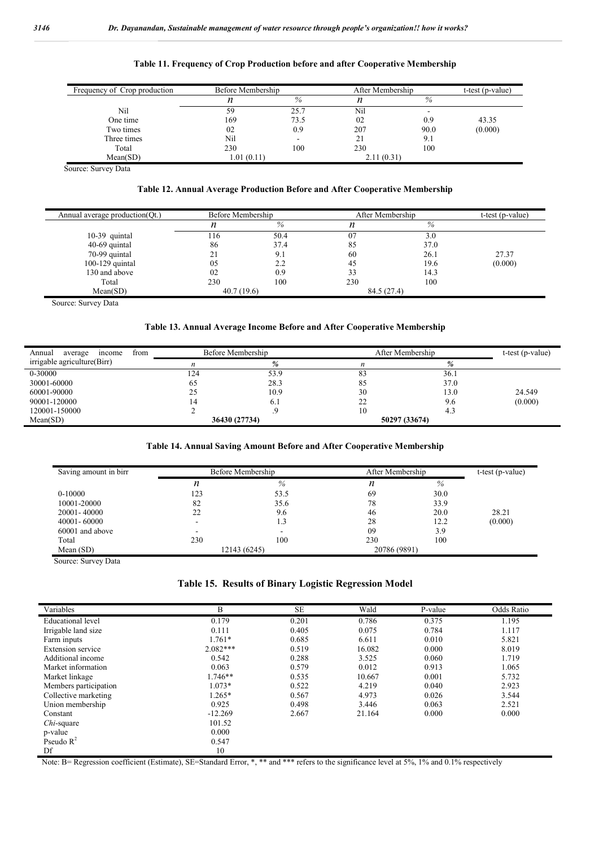| Frequency of Crop production | Before Membership |                          | After Membership |      | t-test (p-value) |
|------------------------------|-------------------|--------------------------|------------------|------|------------------|
|                              | n                 | %                        | n                | $\%$ |                  |
| Nil                          | 59                | 25.7                     | Nil              |      |                  |
| One time                     | 169               | 73.5                     | 02               | 0.9  | 43.35            |
| Two times                    | 02                | 0.9                      | 207              | 90.0 | (0.000)          |
| Three times                  | Nil               | $\overline{\phantom{a}}$ | 21               | 9.1  |                  |
| Total                        | 230               | 100                      | 230              | 100  |                  |
| Mean(SD)                     | 1.01(0.11)        |                          | 2.11(0.31)       |      |                  |

Source: Survey Data

#### **Table 12. Annual Average Production Before and After Cooperative Membership**

| Annual average production (Qt.) |            | Before Membership |             | After Membership |         |
|---------------------------------|------------|-------------------|-------------|------------------|---------|
|                                 |            | %                 |             | %                |         |
| $10-39$ quintal                 | .16        | 50.4              | 07          | 3.0              |         |
| 40-69 quintal                   | 86         | 37.4              | 85          | 37.0             |         |
| 70-99 quintal                   | ∠          | 9.1               | 60          | 26.1             | 27.37   |
| 100-129 quintal                 | 05         | 2.2               | 45          | 19.6             | (0.000) |
| 130 and above                   | 02         | 0.9               | 33          | 14.3             |         |
| Total                           | 230        | 100               | 230         | 100              |         |
| Mean(SD)                        | 40.7(19.6) |                   | 84.5 (27.4) |                  |         |

Source: Survey Data

#### **Table 13. Annual Average Income Before and After Cooperative Membership**

| from<br>Annual<br>income<br>average | Before Membership |               | After Membership |      | $t-test (p-value)$ |
|-------------------------------------|-------------------|---------------|------------------|------|--------------------|
| irrigable agriculture(Birr)         | n                 | %             | n                | %    |                    |
| 0-30000                             | 124               | 53.9          | 83               | 36.1 |                    |
| 30001-60000                         | 65                | 28.3          | 85               | 37.0 |                    |
| 60001-90000                         | 25                | 10.9          | 30               | 13.0 | 24.549             |
| 90001-120000                        | ٬4                | 0.1           | 22               | 9.6  | (0.000)            |
| 120001-150000                       |                   |               | 10               | 4.3  |                    |
| Mean(SD)                            |                   | 36430 (27734) | 50297 (33674)    |      |                    |

## **Table 14. Annual Saving Amount Before and After Cooperative Membership**

| Saving amount in birr | Before Membership |      | After Membership |      | $t-test (p-value)$ |
|-----------------------|-------------------|------|------------------|------|--------------------|
|                       | n                 | $\%$ |                  | %    |                    |
| $0-10000$             | 123               | 53.5 | 69               | 30.0 |                    |
| 10001-20000           | 82                | 35.6 | 78               | 33.9 |                    |
| 20001-40000           | 22                | 9.6  | 46               | 20.0 | 28.21              |
| $40001 - 60000$       |                   | 1.3  | 28               | 12.2 | (0.000)            |
| 60001 and above       | -                 |      | 09               | 3.9  |                    |
| Total                 | 230               | 100  | 230              | 100  |                    |
| Mean $(SD)$           | 12143 (6245)      |      | 20786 (9891)     |      |                    |

Source: Survey Data

## **Table 15. Results of Binary Logistic Regression Model**

| Variables                | B          | <b>SE</b> | Wald   | P-value | Odds Ratio |
|--------------------------|------------|-----------|--------|---------|------------|
| <b>Educational</b> level | 0.179      | 0.201     | 0.786  | 0.375   | 1.195      |
| Irrigable land size      | 0.111      | 0.405     | 0.075  | 0.784   | 1.117      |
| Farm inputs              | 1.761*     | 0.685     | 6.611  | 0.010   | 5.821      |
| Extension service        | $2.082***$ | 0.519     | 16.082 | 0.000   | 8.019      |
| Additional income        | 0.542      | 0.288     | 3.525  | 0.060   | 1.719      |
| Market information       | 0.063      | 0.579     | 0.012  | 0.913   | 1.065      |
| Market linkage           | 1.746**    | 0.535     | 10.667 | 0.001   | 5.732      |
| Members participation    | $1.073*$   | 0.522     | 4.219  | 0.040   | 2.923      |
| Collective marketing     | $1.265*$   | 0.567     | 4.973  | 0.026   | 3.544      |
| Union membership         | 0.925      | 0.498     | 3.446  | 0.063   | 2.521      |
| Constant                 | $-12.269$  | 2.667     | 21.164 | 0.000   | 0.000      |
| <i>Chi</i> -square       | 101.52     |           |        |         |            |
| p-value                  | 0.000      |           |        |         |            |
| Pseudo $R^2$             | 0.547      |           |        |         |            |
| Df                       | 10         |           |        |         |            |

Note: B= Regression coefficient (Estimate), SE=Standard Error, \*, \*\* and \*\*\* refers to the significance level at 5%, 1% and 0.1% respectively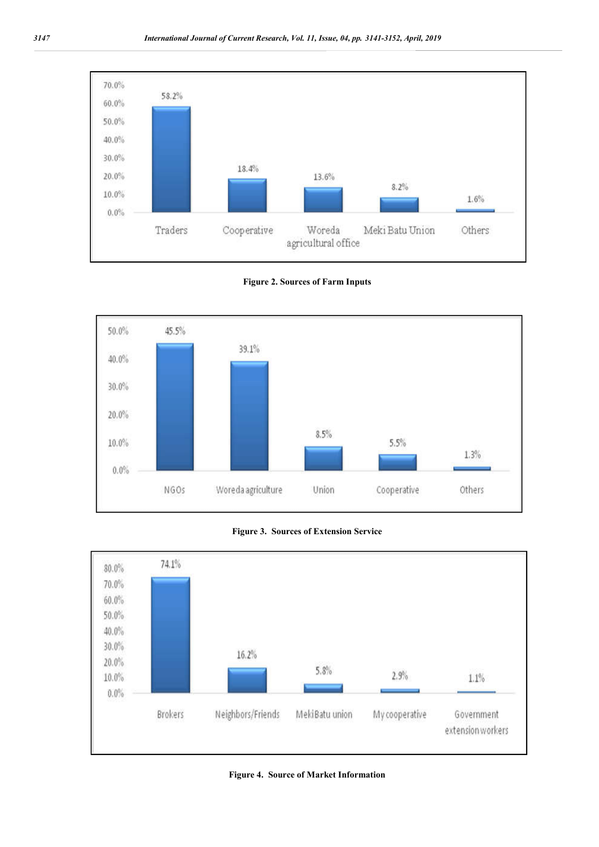

**Figure 2. Sources of Farm Inputs**







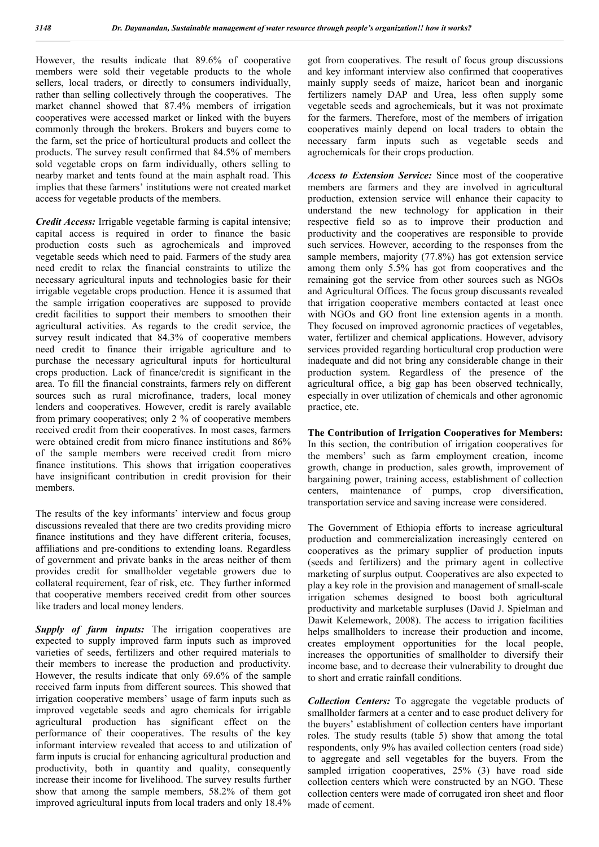However, the results indicate that 89.6% of cooperative members were sold their vegetable products to the whole sellers, local traders, or directly to consumers individually, rather than selling collectively through the cooperatives. The market channel showed that 87.4% members of irrigation cooperatives were accessed market or linked with the buyers commonly through the brokers. Brokers and buyers come to the farm, set the price of horticultural products and collect the products. The survey result confirmed that 84.5% of members sold vegetable crops on farm individually, others selling to nearby market and tents found at the main asphalt road. This implies that these farmers' institutions were not created market access for vegetable products of the members.

*Credit Access:* Irrigable vegetable farming is capital intensive; capital access is required in order to finance the basic production costs such as agrochemicals and improved vegetable seeds which need to paid. Farmers of the study area need credit to relax the financial constraints to utilize the necessary agricultural inputs and technologies basic for their irrigable vegetable crops production. Hence it is assumed that the sample irrigation cooperatives are supposed to provide credit facilities to support their members to smoothen their agricultural activities. As regards to the credit service, the survey result indicated that 84.3% of cooperative members need credit to finance their irrigable agriculture and to purchase the necessary agricultural inputs for horticultural crops production. Lack of finance/credit is significant in the area. To fill the financial constraints, farmers rely on different sources such as rural microfinance, traders, local money lenders and cooperatives. However, credit is rarely available from primary cooperatives; only 2 % of cooperative members received credit from their cooperatives. In most cases, farmers were obtained credit from micro finance institutions and 86% of the sample members were received credit from micro finance institutions. This shows that irrigation cooperatives have insignificant contribution in credit provision for their members.

The results of the key informants' interview and focus group discussions revealed that there are two credits providing micro finance institutions and they have different criteria, focuses, affiliations and pre-conditions to extending loans. Regardless of government and private banks in the areas neither of them provides credit for smallholder vegetable growers due to collateral requirement, fear of risk, etc. They further informed that cooperative members received credit from other sources like traders and local money lenders.

**Supply of farm inputs:** The irrigation cooperatives are expected to supply improved farm inputs such as improved varieties of seeds, fertilizers and other required materials to their members to increase the production and productivity. However, the results indicate that only 69.6% of the sample received farm inputs from different sources. This showed that irrigation cooperative members' usage of farm inputs such as improved vegetable seeds and agro chemicals for irrigable agricultural production has significant effect on the performance of their cooperatives. The results of the key informant interview revealed that access to and utilization of farm inputs is crucial for enhancing agricultural production and productivity, both in quantity and quality, consequently increase their income for livelihood. The survey results further show that among the sample members, 58.2% of them got improved agricultural inputs from local traders and only 18.4% got from cooperatives. The result of focus group discussions and key informant interview also confirmed that cooperatives mainly supply seeds of maize, haricot bean and inorganic fertilizers namely DAP and Urea, less often supply some vegetable seeds and agrochemicals, but it was not proximate for the farmers. Therefore, most of the members of irrigation cooperatives mainly depend on local traders to obtain the necessary farm inputs such as vegetable seeds and agrochemicals for their crops production.

*Access to Extension Service:* Since most of the cooperative members are farmers and they are involved in agricultural production, extension service will enhance their capacity to understand the new technology for application in their respective field so as to improve their production and productivity and the cooperatives are responsible to provide such services. However, according to the responses from the sample members, majority (77.8%) has got extension service among them only 5.5% has got from cooperatives and the remaining got the service from other sources such as NGOs and Agricultural Offices. The focus group discussants revealed that irrigation cooperative members contacted at least once with NGOs and GO front line extension agents in a month. They focused on improved agronomic practices of vegetables, water, fertilizer and chemical applications. However, advisory services provided regarding horticultural crop production were inadequate and did not bring any considerable change in their production system. Regardless of the presence of the agricultural office, a big gap has been observed technically, especially in over utilization of chemicals and other agronomic practice, etc.

**The Contribution of Irrigation Cooperatives for Members:**  In this section, the contribution of irrigation cooperatives for the members' such as farm employment creation, income growth, change in production, sales growth, improvement of bargaining power, training access, establishment of collection centers, maintenance of pumps, crop diversification, transportation service and saving increase were considered.

The Government of Ethiopia efforts to increase agricultural production and commercialization increasingly centered on cooperatives as the primary supplier of production inputs (seeds and fertilizers) and the primary agent in collective marketing of surplus output. Cooperatives are also expected to play a key role in the provision and management of small-scale irrigation schemes designed to boost both agricultural productivity and marketable surpluses (David J. Spielman and Dawit Kelemework, 2008). The access to irrigation facilities helps smallholders to increase their production and income, creates employment opportunities for the local people, increases the opportunities of smallholder to diversify their income base, and to decrease their vulnerability to drought due to short and erratic rainfall conditions.

*Collection Centers:* To aggregate the vegetable products of smallholder farmers at a center and to ease product delivery for the buyers' establishment of collection centers have important roles. The study results (table 5) show that among the total respondents, only 9% has availed collection centers (road side) to aggregate and sell vegetables for the buyers. From the sampled irrigation cooperatives, 25% (3) have road side collection centers which were constructed by an NGO. These collection centers were made of corrugated iron sheet and floor made of cement.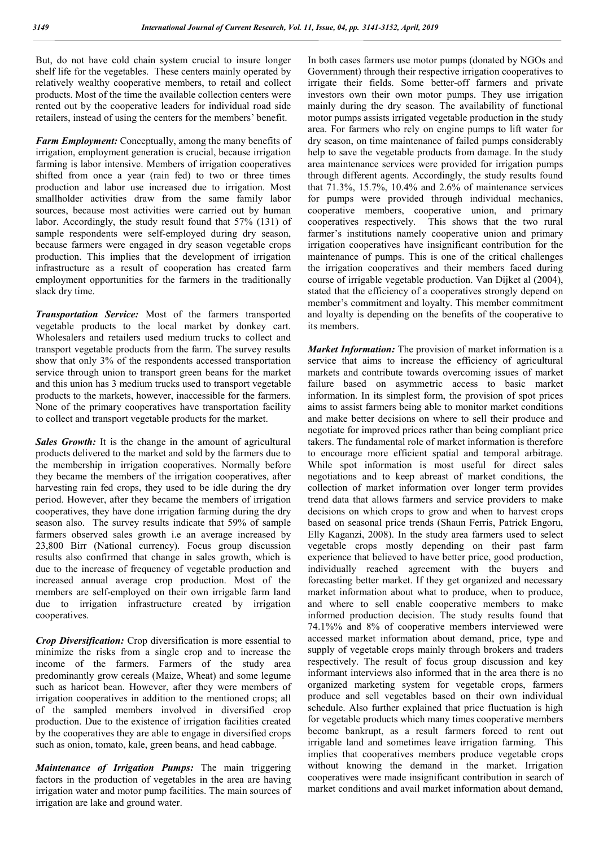But, do not have cold chain system crucial to insure longer shelf life for the vegetables. These centers mainly operated by relatively wealthy cooperative members, to retail and collect products. Most of the time the available collection centers were rented out by the cooperative leaders for individual road side retailers, instead of using the centers for the members' benefit.

*Farm Employment:* Conceptually, among the many benefits of irrigation, employment generation is crucial, because irrigation farming is labor intensive. Members of irrigation cooperatives shifted from once a year (rain fed) to two or three times production and labor use increased due to irrigation. Most smallholder activities draw from the same family labor sources, because most activities were carried out by human labor. Accordingly, the study result found that 57% (131) of sample respondents were self-employed during dry season, because farmers were engaged in dry season vegetable crops production. This implies that the development of irrigation infrastructure as a result of cooperation has created farm employment opportunities for the farmers in the traditionally slack dry time.

*Transportation Service:* Most of the farmers transported vegetable products to the local market by donkey cart. Wholesalers and retailers used medium trucks to collect and transport vegetable products from the farm. The survey results show that only 3% of the respondents accessed transportation service through union to transport green beans for the market and this union has 3 medium trucks used to transport vegetable products to the markets, however, inaccessible for the farmers. None of the primary cooperatives have transportation facility to collect and transport vegetable products for the market.

*Sales Growth:* It is the change in the amount of agricultural products delivered to the market and sold by the farmers due to the membership in irrigation cooperatives. Normally before they became the members of the irrigation cooperatives, after harvesting rain fed crops, they used to be idle during the dry period. However, after they became the members of irrigation cooperatives, they have done irrigation farming during the dry season also. The survey results indicate that 59% of sample farmers observed sales growth i.e an average increased by 23,800 Birr (National currency). Focus group discussion results also confirmed that change in sales growth, which is due to the increase of frequency of vegetable production and increased annual average crop production. Most of the members are self-employed on their own irrigable farm land due to irrigation infrastructure created by irrigation cooperatives.

*Crop Diversification:* Crop diversification is more essential to minimize the risks from a single crop and to increase the income of the farmers. Farmers of the study area predominantly grow cereals (Maize, Wheat) and some legume such as haricot bean. However, after they were members of irrigation cooperatives in addition to the mentioned crops; all of the sampled members involved in diversified crop production. Due to the existence of irrigation facilities created by the cooperatives they are able to engage in diversified crops such as onion, tomato, kale, green beans, and head cabbage.

*Maintenance of Irrigation Pumps:* The main triggering factors in the production of vegetables in the area are having irrigation water and motor pump facilities. The main sources of irrigation are lake and ground water.

In both cases farmers use motor pumps (donated by NGOs and Government) through their respective irrigation cooperatives to irrigate their fields. Some better-off farmers and private investors own their own motor pumps. They use irrigation mainly during the dry season. The availability of functional motor pumps assists irrigated vegetable production in the study area. For farmers who rely on engine pumps to lift water for dry season, on time maintenance of failed pumps considerably help to save the vegetable products from damage. In the study area maintenance services were provided for irrigation pumps through different agents. Accordingly, the study results found that 71.3%, 15.7%, 10.4% and 2.6% of maintenance services for pumps were provided through individual mechanics, cooperative members, cooperative union, and primary cooperatives respectively. This shows that the two rural farmer's institutions namely cooperative union and primary irrigation cooperatives have insignificant contribution for the maintenance of pumps. This is one of the critical challenges the irrigation cooperatives and their members faced during course of irrigable vegetable production. Van Dijket al (2004), stated that the efficiency of a cooperatives strongly depend on member's commitment and loyalty. This member commitment and loyalty is depending on the benefits of the cooperative to its members.

*Market Information:* The provision of market information is a service that aims to increase the efficiency of agricultural markets and contribute towards overcoming issues of market failure based on asymmetric access to basic market information. In its simplest form, the provision of spot prices aims to assist farmers being able to monitor market conditions and make better decisions on where to sell their produce and negotiate for improved prices rather than being compliant price takers. The fundamental role of market information is therefore to encourage more efficient spatial and temporal arbitrage. While spot information is most useful for direct sales negotiations and to keep abreast of market conditions, the collection of market information over longer term provides trend data that allows farmers and service providers to make decisions on which crops to grow and when to harvest crops based on seasonal price trends (Shaun Ferris, Patrick Engoru, Elly Kaganzi, 2008). In the study area farmers used to select vegetable crops mostly depending on their past farm experience that believed to have better price, good production, individually reached agreement with the buyers and forecasting better market. If they get organized and necessary market information about what to produce, when to produce, and where to sell enable cooperative members to make informed production decision. The study results found that 74.1%% and 8% of cooperative members interviewed were accessed market information about demand, price, type and supply of vegetable crops mainly through brokers and traders respectively. The result of focus group discussion and key informant interviews also informed that in the area there is no organized marketing system for vegetable crops, farmers produce and sell vegetables based on their own individual schedule. Also further explained that price fluctuation is high for vegetable products which many times cooperative members become bankrupt, as a result farmers forced to rent out irrigable land and sometimes leave irrigation farming. This implies that cooperatives members produce vegetable crops without knowing the demand in the market. Irrigation cooperatives were made insignificant contribution in search of market conditions and avail market information about demand,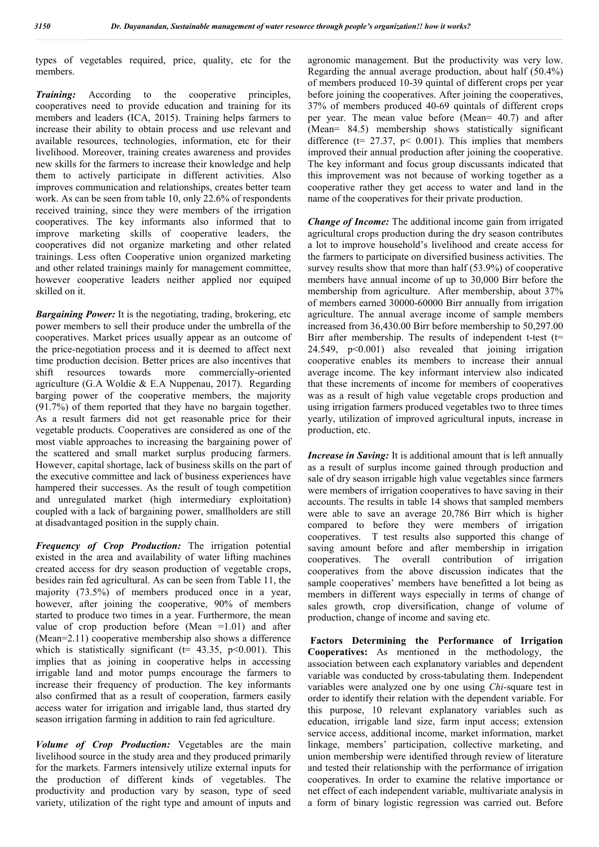types of vegetables required, price, quality, etc for the members.

*Training:* According to the cooperative principles, cooperatives need to provide education and training for its members and leaders (ICA, 2015). Training helps farmers to increase their ability to obtain process and use relevant and available resources, technologies, information, etc for their livelihood. Moreover, training creates awareness and provides new skills for the farmers to increase their knowledge and help them to actively participate in different activities. Also improves communication and relationships, creates better team work. As can be seen from table 10, only 22.6% of respondents received training, since they were members of the irrigation cooperatives. The key informants also informed that to improve marketing skills of cooperative leaders, the cooperatives did not organize marketing and other related trainings. Less often Cooperative union organized marketing and other related trainings mainly for management committee, however cooperative leaders neither applied nor equiped skilled on it.

*Bargaining Power:* It is the negotiating, trading, brokering, etc power members to sell their produce under the umbrella of the cooperatives. Market prices usually appear as an outcome of the price-negotiation process and it is deemed to affect next time production decision. Better prices are also incentives that shift resources towards more commercially-oriented agriculture (G.A Woldie & E.A Nuppenau, 2017). Regarding barging power of the cooperative members, the majority (91.7%) of them reported that they have no bargain together. As a result farmers did not get reasonable price for their vegetable products. Cooperatives are considered as one of the most viable approaches to increasing the bargaining power of the scattered and small market surplus producing farmers. However, capital shortage, lack of business skills on the part of the executive committee and lack of business experiences have hampered their successes. As the result of tough competition and unregulated market (high intermediary exploitation) coupled with a lack of bargaining power, smallholders are still at disadvantaged position in the supply chain.

*Frequency of Crop Production:* The irrigation potential existed in the area and availability of water lifting machines created access for dry season production of vegetable crops, besides rain fed agricultural. As can be seen from Table 11, the majority (73.5%) of members produced once in a year, however, after joining the cooperative, 90% of members started to produce two times in a year. Furthermore, the mean value of crop production before (Mean =1.01) and after (Mean=2.11) cooperative membership also shows a difference which is statistically significant ( $t=$  43.35, p<0.001). This implies that as joining in cooperative helps in accessing irrigable land and motor pumps encourage the farmers to increase their frequency of production. The key informants also confirmed that as a result of cooperation, farmers easily access water for irrigation and irrigable land, thus started dry season irrigation farming in addition to rain fed agriculture.

*Volume of Crop Production:* Vegetables are the main livelihood source in the study area and they produced primarily for the markets. Farmers intensively utilize external inputs for the production of different kinds of vegetables. The productivity and production vary by season, type of seed variety, utilization of the right type and amount of inputs and

agronomic management. But the productivity was very low. Regarding the annual average production, about half (50.4%) of members produced 10-39 quintal of different crops per year before joining the cooperatives. After joining the cooperatives, 37% of members produced 40-69 quintals of different crops per year. The mean value before (Mean= 40.7) and after (Mean= 84.5) membership shows statistically significant difference ( $t= 27.37$ ,  $p< 0.001$ ). This implies that members improved their annual production after joining the cooperative. The key informant and focus group discussants indicated that this improvement was not because of working together as a cooperative rather they get access to water and land in the name of the cooperatives for their private production.

*Change of Income:* The additional income gain from irrigated agricultural crops production during the dry season contributes a lot to improve household's livelihood and create access for the farmers to participate on diversified business activities. The survey results show that more than half (53.9%) of cooperative members have annual income of up to 30,000 Birr before the membership from agriculture. After membership, about 37% of members earned 30000-60000 Birr annually from irrigation agriculture. The annual average income of sample members increased from 36,430.00 Birr before membership to 50,297.00 Birr after membership. The results of independent t-test ( $t=$ 24.549, p<0.001) also revealed that joining irrigation cooperative enables its members to increase their annual average income. The key informant interview also indicated that these increments of income for members of cooperatives was as a result of high value vegetable crops production and using irrigation farmers produced vegetables two to three times yearly, utilization of improved agricultural inputs, increase in production, etc.

*Increase in Saving:* It is additional amount that is left annually as a result of surplus income gained through production and sale of dry season irrigable high value vegetables since farmers were members of irrigation cooperatives to have saving in their accounts. The results in table 14 shows that sampled members were able to save an average 20,786 Birr which is higher compared to before they were members of irrigation cooperatives. T test results also supported this change of saving amount before and after membership in irrigation cooperatives. The overall contribution of irrigation cooperatives from the above discussion indicates that the sample cooperatives' members have benefitted a lot being as members in different ways especially in terms of change of sales growth, crop diversification, change of volume of production, change of income and saving etc.

**Factors Determining the Performance of Irrigation Cooperatives:** As mentioned in the methodology, the association between each explanatory variables and dependent variable was conducted by cross-tabulating them. Independent variables were analyzed one by one using *Chi*-square test in order to identify their relation with the dependent variable. For this purpose, 10 relevant explanatory variables such as education, irrigable land size, farm input access; extension service access, additional income, market information, market linkage, members' participation, collective marketing, and union membership were identified through review of literature and tested their relationship with the performance of irrigation cooperatives. In order to examine the relative importance or net effect of each independent variable, multivariate analysis in a form of binary logistic regression was carried out. Before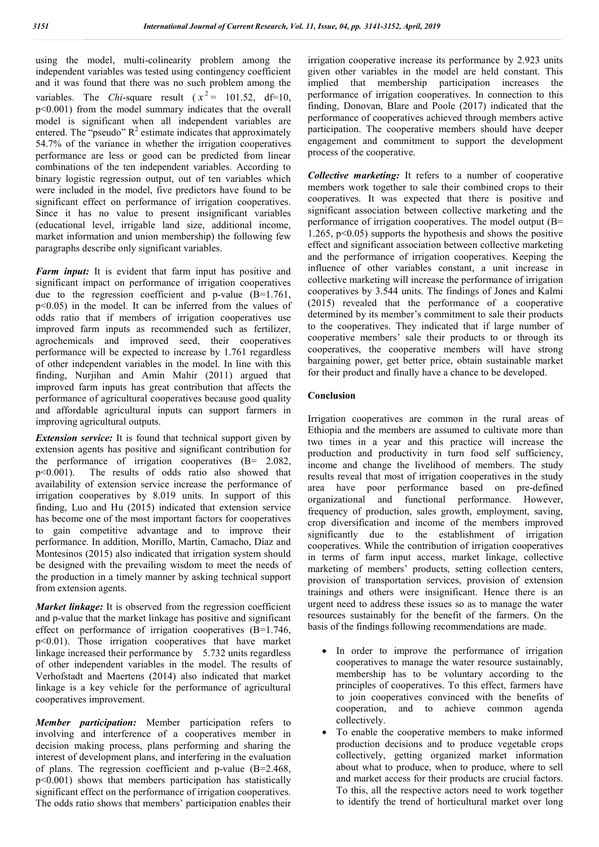using the model, multi-colinearity problem among the independent variables was tested using contingency coefficient and it was found that there was no such problem among the variables. The *Chi*-square result ( $x^2 = 101.52$ , df=10, p<0.001) from the model summary indicates that the overall model is significant when all independent variables are entered. The "pseudo"  $R^2$  estimate indicates that approximately 54.7% of the variance in whether the irrigation cooperatives performance are less or good can be predicted from linear combinations of the ten independent variables. According to binary logistic regression output, out of ten variables which were included in the model, five predictors have found to be significant effect on performance of irrigation cooperatives. Since it has no value to present insignificant variables (educational level, irrigable land size, additional income, market information and union membership) the following few paragraphs describe only significant variables.

*Farm input:* It is evident that farm input has positive and significant impact on performance of irrigation cooperatives due to the regression coefficient and p-value (B=1.761, p<0.05) in the model. It can be inferred from the values of odds ratio that if members of irrigation cooperatives use improved farm inputs as recommended such as fertilizer, agrochemicals and improved seed, their cooperatives performance will be expected to increase by 1.761 regardless of other independent variables in the model. In line with this finding, Nurjihan and Amin Mahir (2011) argued that improved farm inputs has great contribution that affects the performance of agricultural cooperatives because good quality and affordable agricultural inputs can support farmers in improving agricultural outputs.

*Extension service:* It is found that technical support given by extension agents has positive and significant contribution for the performance of irrigation cooperatives (B= 2.082, p<0.001). The results of odds ratio also showed that availability of extension service increase the performance of irrigation cooperatives by 8.019 units. In support of this finding, Luo and Hu (2015) indicated that extension service has become one of the most important factors for cooperatives to gain competitive advantage and to improve their performance. In addition, Morillo, Martín, Camacho, Díaz and Montesinos (2015) also indicated that irrigation system should be designed with the prevailing wisdom to meet the needs of the production in a timely manner by asking technical support from extension agents.

*Market linkage:* It is observed from the regression coefficient and p-value that the market linkage has positive and significant effect on performance of irrigation cooperatives (B=1.746, p<0.01). Those irrigation cooperatives that have market linkage increased their performance by 5.732 units regardless of other independent variables in the model. The results of Verhofstadt and Maertens (2014) also indicated that market linkage is a key vehicle for the performance of agricultural cooperatives improvement.

*Member participation:* Member participation refers to involving and interference of a cooperatives member in decision making process, plans performing and sharing the interest of development plans, and interfering in the evaluation of plans. The regression coefficient and p-value (B=2.468, p<0.001) shows that members participation has statistically significant effect on the performance of irrigation cooperatives. The odds ratio shows that members' participation enables their irrigation cooperative increase its performance by 2.923 units given other variables in the model are held constant. This implied that membership participation increases the performance of irrigation cooperatives. In connection to this finding, Donovan, Blare and Poole (2017) indicated that the performance of cooperatives achieved through members active participation. The cooperative members should have deeper engagement and commitment to support the development process of the cooperative.

*Collective marketing:* It refers to a number of cooperative members work together to sale their combined crops to their cooperatives. It was expected that there is positive and significant association between collective marketing and the performance of irrigation cooperatives. The model output (B= 1.265, p<0.05) supports the hypothesis and shows the positive effect and significant association between collective marketing and the performance of irrigation cooperatives. Keeping the influence of other variables constant, a unit increase in collective marketing will increase the performance of irrigation cooperatives by 3.544 units. The findings of Jones and Kalmi (2015) revealed that the performance of a cooperative determined by its member's commitment to sale their products to the cooperatives. They indicated that if large number of cooperative members' sale their products to or through its cooperatives, the cooperative members will have strong bargaining power, get better price, obtain sustainable market for their product and finally have a chance to be developed.

#### **Conclusion**

Irrigation cooperatives are common in the rural areas of Ethiopia and the members are assumed to cultivate more than two times in a year and this practice will increase the production and productivity in turn food self sufficiency, income and change the livelihood of members. The study results reveal that most of irrigation cooperatives in the study area have poor performance based on pre-defined organizational and functional performance. However, frequency of production, sales growth, employment, saving, crop diversification and income of the members improved significantly due to the establishment of irrigation cooperatives. While the contribution of irrigation cooperatives in terms of farm input access, market linkage, collective marketing of members' products, setting collection centers, provision of transportation services, provision of extension trainings and others were insignificant. Hence there is an urgent need to address these issues so as to manage the water resources sustainably for the benefit of the farmers. On the basis of the findings following recommendations are made.

- In order to improve the performance of irrigation cooperatives to manage the water resource sustainably, membership has to be voluntary according to the principles of cooperatives. To this effect, farmers have to join cooperatives convinced with the benefits of cooperation, and to achieve common agenda collectively.
- To enable the cooperative members to make informed production decisions and to produce vegetable crops collectively, getting organized market information about what to produce, when to produce, where to sell and market access for their products are crucial factors. To this, all the respective actors need to work together to identify the trend of horticultural market over long